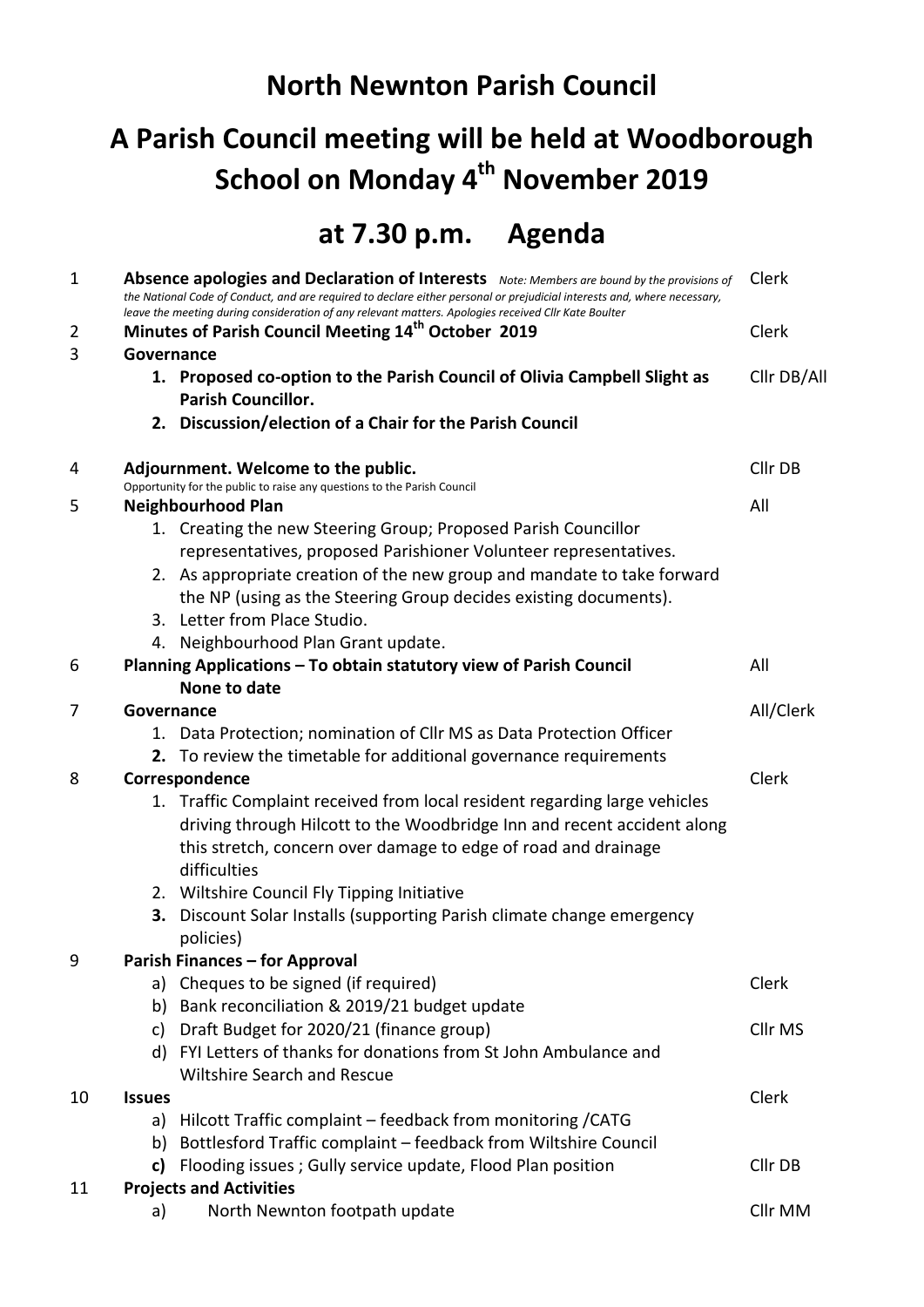## **North Newnton Parish Council**

## **A Parish Council meeting will be held at Woodborough School on Monday 4 th November 2019**

## **at 7.30 p.m. Agenda**

| $\mathbf{1}$   | Clerk<br>Absence apologies and Declaration of Interests Note: Members are bound by the provisions of<br>the National Code of Conduct, and are required to declare either personal or prejudicial interests and, where necessary,<br>leave the meeting during consideration of any relevant matters. Apologies received Cllr Kate Boulter |                                                                                                       |             |  |  |
|----------------|------------------------------------------------------------------------------------------------------------------------------------------------------------------------------------------------------------------------------------------------------------------------------------------------------------------------------------------|-------------------------------------------------------------------------------------------------------|-------------|--|--|
| $\overline{2}$ |                                                                                                                                                                                                                                                                                                                                          | Minutes of Parish Council Meeting 14 <sup>th</sup> October 2019                                       |             |  |  |
| 3              | Governance                                                                                                                                                                                                                                                                                                                               |                                                                                                       |             |  |  |
|                |                                                                                                                                                                                                                                                                                                                                          | 1. Proposed co-option to the Parish Council of Olivia Campbell Slight as<br><b>Parish Councillor.</b> | Cllr DB/All |  |  |
|                |                                                                                                                                                                                                                                                                                                                                          | 2. Discussion/election of a Chair for the Parish Council                                              |             |  |  |
| 4              |                                                                                                                                                                                                                                                                                                                                          | Adjournment. Welcome to the public.                                                                   | Cllr DB     |  |  |
| 5              | Opportunity for the public to raise any questions to the Parish Council<br><b>Neighbourhood Plan</b>                                                                                                                                                                                                                                     |                                                                                                       |             |  |  |
|                |                                                                                                                                                                                                                                                                                                                                          | 1. Creating the new Steering Group; Proposed Parish Councillor                                        | All         |  |  |
|                |                                                                                                                                                                                                                                                                                                                                          | representatives, proposed Parishioner Volunteer representatives.                                      |             |  |  |
|                |                                                                                                                                                                                                                                                                                                                                          | 2. As appropriate creation of the new group and mandate to take forward                               |             |  |  |
|                |                                                                                                                                                                                                                                                                                                                                          | the NP (using as the Steering Group decides existing documents).                                      |             |  |  |
|                |                                                                                                                                                                                                                                                                                                                                          | 3. Letter from Place Studio.                                                                          |             |  |  |
|                |                                                                                                                                                                                                                                                                                                                                          | 4. Neighbourhood Plan Grant update.                                                                   |             |  |  |
| 6              |                                                                                                                                                                                                                                                                                                                                          | Planning Applications - To obtain statutory view of Parish Council                                    | All         |  |  |
|                |                                                                                                                                                                                                                                                                                                                                          | None to date                                                                                          |             |  |  |
| 7              | Governance                                                                                                                                                                                                                                                                                                                               |                                                                                                       |             |  |  |
|                |                                                                                                                                                                                                                                                                                                                                          | 1. Data Protection; nomination of Cllr MS as Data Protection Officer                                  |             |  |  |
|                |                                                                                                                                                                                                                                                                                                                                          | 2. To review the timetable for additional governance requirements                                     | Clerk       |  |  |
| 8              | Correspondence                                                                                                                                                                                                                                                                                                                           |                                                                                                       |             |  |  |
|                |                                                                                                                                                                                                                                                                                                                                          | 1. Traffic Complaint received from local resident regarding large vehicles                            |             |  |  |
|                |                                                                                                                                                                                                                                                                                                                                          | driving through Hilcott to the Woodbridge Inn and recent accident along                               |             |  |  |
|                |                                                                                                                                                                                                                                                                                                                                          | this stretch, concern over damage to edge of road and drainage                                        |             |  |  |
|                |                                                                                                                                                                                                                                                                                                                                          | difficulties                                                                                          |             |  |  |
|                |                                                                                                                                                                                                                                                                                                                                          | 2. Wiltshire Council Fly Tipping Initiative                                                           |             |  |  |
|                |                                                                                                                                                                                                                                                                                                                                          | 3. Discount Solar Installs (supporting Parish climate change emergency<br>policies)                   |             |  |  |
| 9              | <b>Parish Finances - for Approval</b>                                                                                                                                                                                                                                                                                                    |                                                                                                       |             |  |  |
|                |                                                                                                                                                                                                                                                                                                                                          | a) Cheques to be signed (if required)                                                                 | Clerk       |  |  |
|                | b)                                                                                                                                                                                                                                                                                                                                       | Bank reconciliation & 2019/21 budget update                                                           |             |  |  |
|                | c)                                                                                                                                                                                                                                                                                                                                       | Draft Budget for 2020/21 (finance group)                                                              | Cllr MS     |  |  |
|                |                                                                                                                                                                                                                                                                                                                                          | d) FYI Letters of thanks for donations from St John Ambulance and                                     |             |  |  |
|                |                                                                                                                                                                                                                                                                                                                                          | <b>Wiltshire Search and Rescue</b>                                                                    |             |  |  |
| 10             | <b>Issues</b>                                                                                                                                                                                                                                                                                                                            |                                                                                                       | Clerk       |  |  |
|                | a)                                                                                                                                                                                                                                                                                                                                       | Hilcott Traffic complaint - feedback from monitoring / CATG                                           |             |  |  |
|                | b)                                                                                                                                                                                                                                                                                                                                       | Bottlesford Traffic complaint - feedback from Wiltshire Council                                       |             |  |  |
|                |                                                                                                                                                                                                                                                                                                                                          | Flooding issues; Gully service update, Flood Plan position                                            | Cllr DB     |  |  |
| 11             |                                                                                                                                                                                                                                                                                                                                          | <b>Projects and Activities</b>                                                                        | Cllr MM     |  |  |
|                | a)                                                                                                                                                                                                                                                                                                                                       | North Newnton footpath update                                                                         |             |  |  |